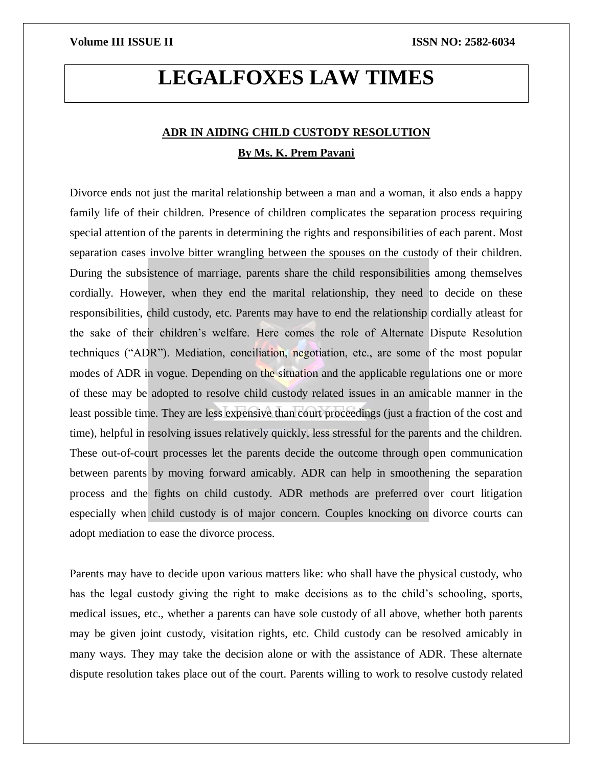# **LEGALFOXES LAW TIMES**

# **ADR IN AIDING CHILD CUSTODY RESOLUTION By Ms. K. Prem Pavani**

Divorce ends not just the marital relationship between a man and a woman, it also ends a happy family life of their children. Presence of children complicates the separation process requiring special attention of the parents in determining the rights and responsibilities of each parent. Most separation cases involve bitter wrangling between the spouses on the custody of their children. During the subsistence of marriage, parents share the child responsibilities among themselves cordially. However, when they end the marital relationship, they need to decide on these responsibilities, child custody, etc. Parents may have to end the relationship cordially atleast for the sake of their children's welfare. Here comes the role of Alternate Dispute Resolution techniques ("ADR"). Mediation, conciliation, negotiation, etc., are some of the most popular modes of ADR in vogue. Depending on the situation and the applicable regulations one or more of these may be adopted to resolve child custody related issues in an amicable manner in the least possible time. They are less expensive than court proceedings (just a fraction of the cost and time), helpful in resolving issues relatively quickly, less stressful for the parents and the children. These out-of-court processes let the parents decide the outcome through open communication between parents by moving forward amicably. ADR can help in smoothening the separation process and the fights on child custody. ADR methods are preferred over court litigation especially when child custody is of major concern. Couples knocking on divorce courts can adopt mediation to ease the divorce process.

Parents may have to decide upon various matters like: who shall have the physical custody, who has the legal custody giving the right to make decisions as to the child's schooling, sports, medical issues, etc., whether a parents can have sole custody of all above, whether both parents may be given joint custody, visitation rights, etc. Child custody can be resolved amicably in many ways. They may take the decision alone or with the assistance of ADR. These alternate dispute resolution takes place out of the court. Parents willing to work to resolve custody related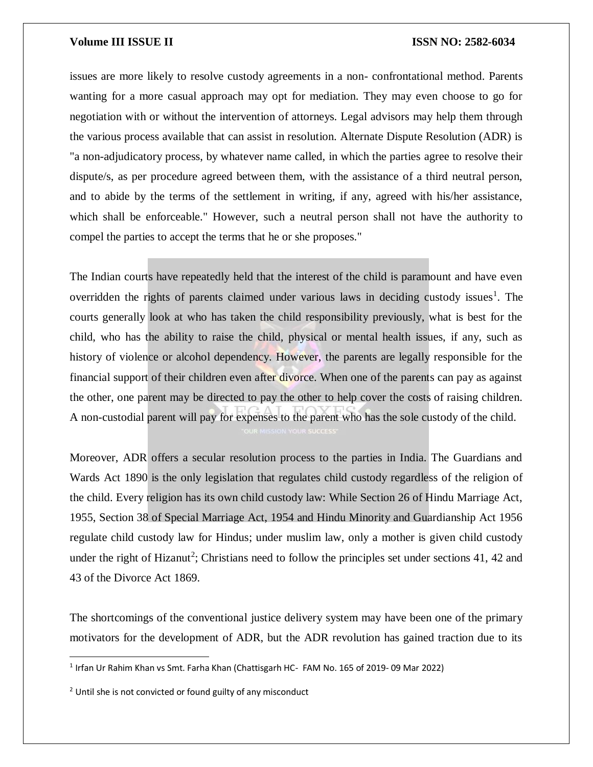### **Volume III ISSUE II III ISSN NO:** 2582-6034

issues are more likely to resolve custody agreements in a non- confrontational method. Parents wanting for a more casual approach may opt for mediation. They may even choose to go for negotiation with or without the intervention of attorneys. Legal advisors may help them through the various process available that can assist in resolution. Alternate Dispute Resolution (ADR) is "a non-adjudicatory process, by whatever name called, in which the parties agree to resolve their dispute/s, as per procedure agreed between them, with the assistance of a third neutral person, and to abide by the terms of the settlement in writing, if any, agreed with his/her assistance, which shall be enforceable." However, such a neutral person shall not have the authority to compel the parties to accept the terms that he or she proposes."

The Indian courts have repeatedly held that the interest of the child is paramount and have even overridden the rights of parents claimed under various laws in deciding custody issues<sup>1</sup>. The courts generally look at who has taken the child responsibility previously, what is best for the child, who has the ability to raise the child, physical or mental health issues, if any, such as history of violence or alcohol dependency. However, the parents are legally responsible for the financial support of their children even after divorce. When one of the parents can pay as against the other, one parent may be directed to pay the other to help cover the costs of raising children. A non-custodial parent will pay for expenses to the parent who has the sole custody of the child.

Moreover, ADR offers a secular resolution process to the parties in India. The Guardians and Wards Act 1890 is the only legislation that regulates child custody regardless of the religion of the child. Every religion has its own child custody law: While Section 26 of Hindu Marriage Act, 1955, Section 38 of Special Marriage Act, 1954 and Hindu Minority and Guardianship Act 1956 regulate child custody law for Hindus; under muslim law, only a mother is given child custody under the right of Hizanut<sup>2</sup>; Christians need to follow the principles set under sections 41, 42 and 43 of the Divorce Act 1869.

The shortcomings of the conventional justice delivery system may have been one of the primary motivators for the development of ADR, but the ADR revolution has gained traction due to its

 $\overline{a}$ 

<sup>&</sup>lt;sup>1</sup> Irfan Ur Rahim Khan vs Smt. Farha Khan (Chattisgarh HC- FAM No. 165 of 2019-09 Mar 2022)

 $2$  Until she is not convicted or found guilty of any misconduct